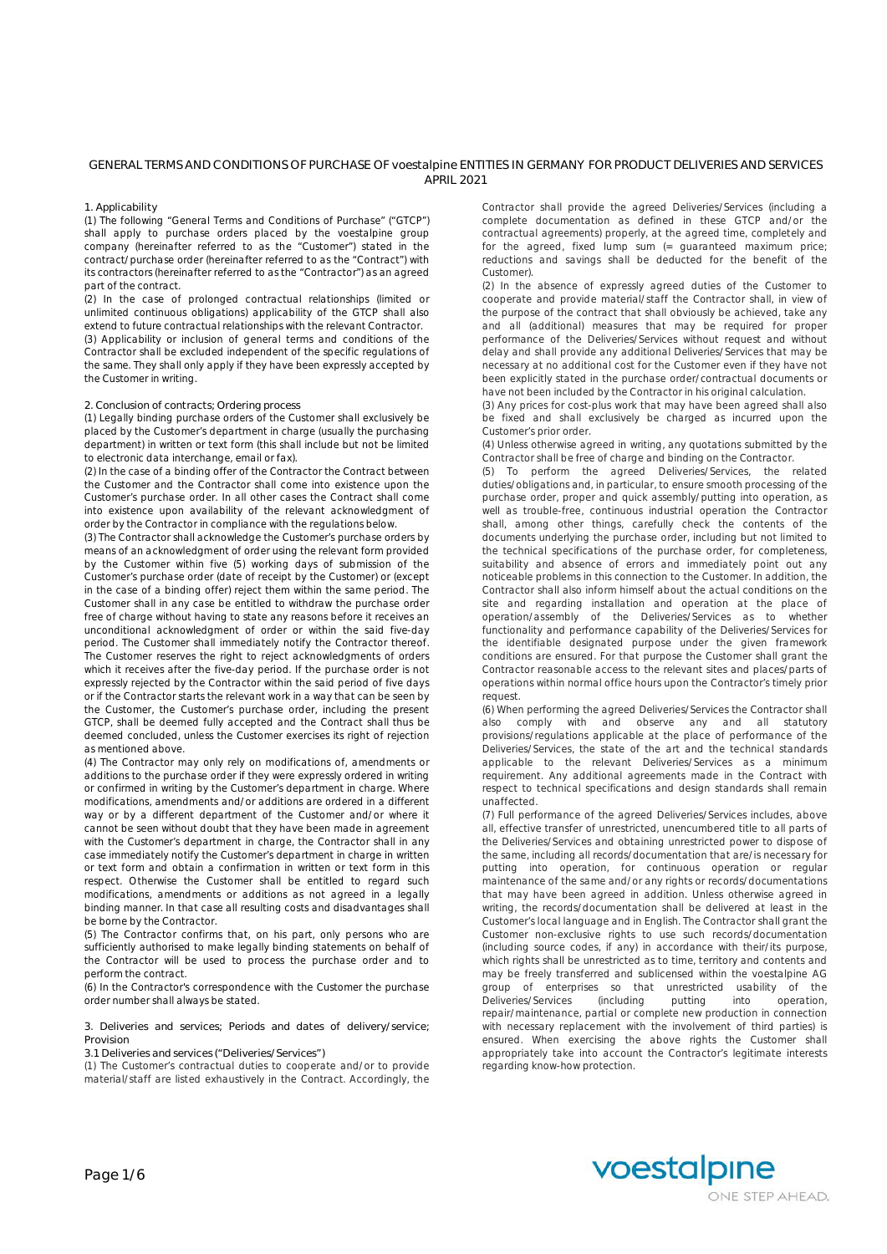# **GENERAL TERMS AND CONDITIONS OF PURCHASE OF voestalpine ENTITIES IN GERMANY FOR PRODUCT DELIVERIES AND SERVICES APRIL 2021**

### **1. Applicability**

(1) The following "General Terms and Conditions of Purchase" ("GTCP") shall apply to purchase orders placed by the voestalpine group company (hereinafter referred to as the "Customer") stated in the contract/purchase order (hereinafter referred to as the "Contract") with its contractors (hereinafter referred to as the "Contractor") as an agreed part of the contract.

(2) In the case of prolonged contractual relationships (limited or unlimited continuous obligations) applicability of the GTCP shall also extend to future contractual relationships with the relevant Contractor. (3) Applicability or inclusion of general terms and conditions of the Contractor shall be excluded independent of the specific regulations of the same. They shall only apply if they have been expressly accepted by the Customer in writing.

### **2. Conclusion of contracts; Ordering process**

(1) Legally binding purchase orders of the Customer shall exclusively be placed by the Customer's department in charge (usually the purchasing department) in written or text form (this shall include but not be limited to electronic data interchange, email or fax).

(2) In the case of a binding offer of the Contractor the Contract between the Customer and the Contractor shall come into existence upon the Customer's purchase order. In all other cases the Contract shall come into existence upon availability of the relevant acknowledgment of order by the Contractor in compliance with the regulations below.

(3) The Contractor shall acknowledge the Customer's purchase orders by means of an acknowledgment of order using the relevant form provided by the Customer within five (5) working days of submission of the Customer's purchase order (date of receipt by the Customer) or (except in the case of a binding offer) reject them within the same period. The Customer shall in any case be entitled to withdraw the purchase order free of charge without having to state any reasons before it receives an unconditional acknowledgment of order or within the said five-day period. The Customer shall immediately notify the Contractor thereof. The Customer reserves the right to reject acknowledgments of orders which it receives after the five-day period. If the purchase order is not expressly rejected by the Contractor within the said period of five days or if the Contractor starts the relevant work in a way that can be seen by the Customer, the Customer's purchase order, including the present GTCP, shall be deemed fully accepted and the Contract shall thus be deemed concluded, unless the Customer exercises its right of rejection as mentioned above.

(4) The Contractor may only rely on modifications of, amendments or additions to the purchase order if they were expressly ordered in writing or confirmed in writing by the Customer's department in charge. Where modifications, amendments and/or additions are ordered in a different way or by a different department of the Customer and/or where it cannot be seen without doubt that they have been made in agreement with the Customer's department in charge, the Contractor shall in any case immediately notify the Customer's department in charge in written or text form and obtain a confirmation in written or text form in this respect. Otherwise the Customer shall be entitled to regard such modifications, amendments or additions as not agreed in a legally binding manner. In that case all resulting costs and disadvantages shall be borne by the Contractor.

(5) The Contractor confirms that, on his part, only persons who are sufficiently authorised to make legally binding statements on behalf of the Contractor will be used to process the purchase order and to perform the contract.

(6) In the Contractor's correspondence with the Customer the purchase order number shall always be stated.

**3. Deliveries and services; Periods and dates of delivery/service; Provision**

**3.1 Deliveries and services ("Deliveries/Services")**

(1) The Customer's contractual duties to cooperate and/or to provide material/staff are listed exhaustively in the Contract. Accordingly, the Contractor shall provide the agreed Deliveries/Services (including a complete documentation as defined in these GTCP and/or the contractual agreements) properly, at the agreed time, completely and for the agreed, fixed lump sum (= guaranteed maximum price; reductions and savings shall be deducted for the benefit of the Customer).

(2) In the absence of expressly agreed duties of the Customer to cooperate and provide material/staff the Contractor shall, in view of the purpose of the contract that shall obviously be achieved, take any and all (additional) measures that may be required for proper performance of the Deliveries/Services without request and without delay and shall provide any additional Deliveries/Services that may be necessary at no additional cost for the Customer even if they have not been explicitly stated in the purchase order/contractual documents or have not been included by the Contractor in his original calculation.

(3) Any prices for cost-plus work that may have been agreed shall also be fixed and shall exclusively be charged as incurred upon the Customer's prior order.

(4) Unless otherwise agreed in writing, any quotations submitted by the Contractor shall be free of charge and binding on the Contractor.

(5) To perform the agreed Deliveries/Services, the related duties/obligations and, in particular, to ensure smooth processing of the purchase order, proper and quick assembly/putting into operation, as well as trouble-free, continuous industrial operation the Contractor shall, among other things, carefully check the contents of the documents underlying the purchase order, including but not limited to the technical specifications of the purchase order, for completeness, suitability and absence of errors and immediately point out any noticeable problems in this connection to the Customer. In addition, the Contractor shall also inform himself about the actual conditions on the site and regarding installation and operation at the place of operation/assembly of the Deliveries/Services as to whether functionality and performance capability of the Deliveries/Services for the identifiable designated purpose under the given framework conditions are ensured. For that purpose the Customer shall grant the Contractor reasonable access to the relevant sites and places/parts of operations within normal office hours upon the Contractor's timely prior request.

(6) When performing the agreed Deliveries/Services the Contractor shall also comply with and observe any and all statutory provisions/regulations applicable at the place of performance of the Deliveries/Services, the state of the art and the technical standards applicable to the relevant Deliveries/Services as a minimum requirement. Any additional agreements made in the Contract with respect to technical specifications and design standards shall remain unaffected.

(7) Full performance of the agreed Deliveries/Services includes, above all, effective transfer of unrestricted, unencumbered title to all parts of the Deliveries/Services and obtaining unrestricted power to dispose of the same, including all records/documentation that are/is necessary for putting into operation, for continuous operation or regular maintenance of the same and/or any rights or records/documentations that may have been agreed in addition. Unless otherwise agreed in writing, the records/documentation shall be delivered at least in the Customer's local language and in English. The Contractor shall grant the Customer non-exclusive rights to use such records/documentation (including source codes, if any) in accordance with their/its purpose, which rights shall be unrestricted as to time, territory and contents and may be freely transferred and sublicensed within the voestalpine AG group of enterprises so that unrestricted usability of the Deliveries/Services (including putting into operation, Deliveries/Services (including putting into operation, repair/maintenance, partial or complete new production in connection with necessary replacement with the involvement of third parties) is ensured. When exercising the above rights the Customer shall appropriately take into account the Contractor's legitimate interests regarding know-how protection.

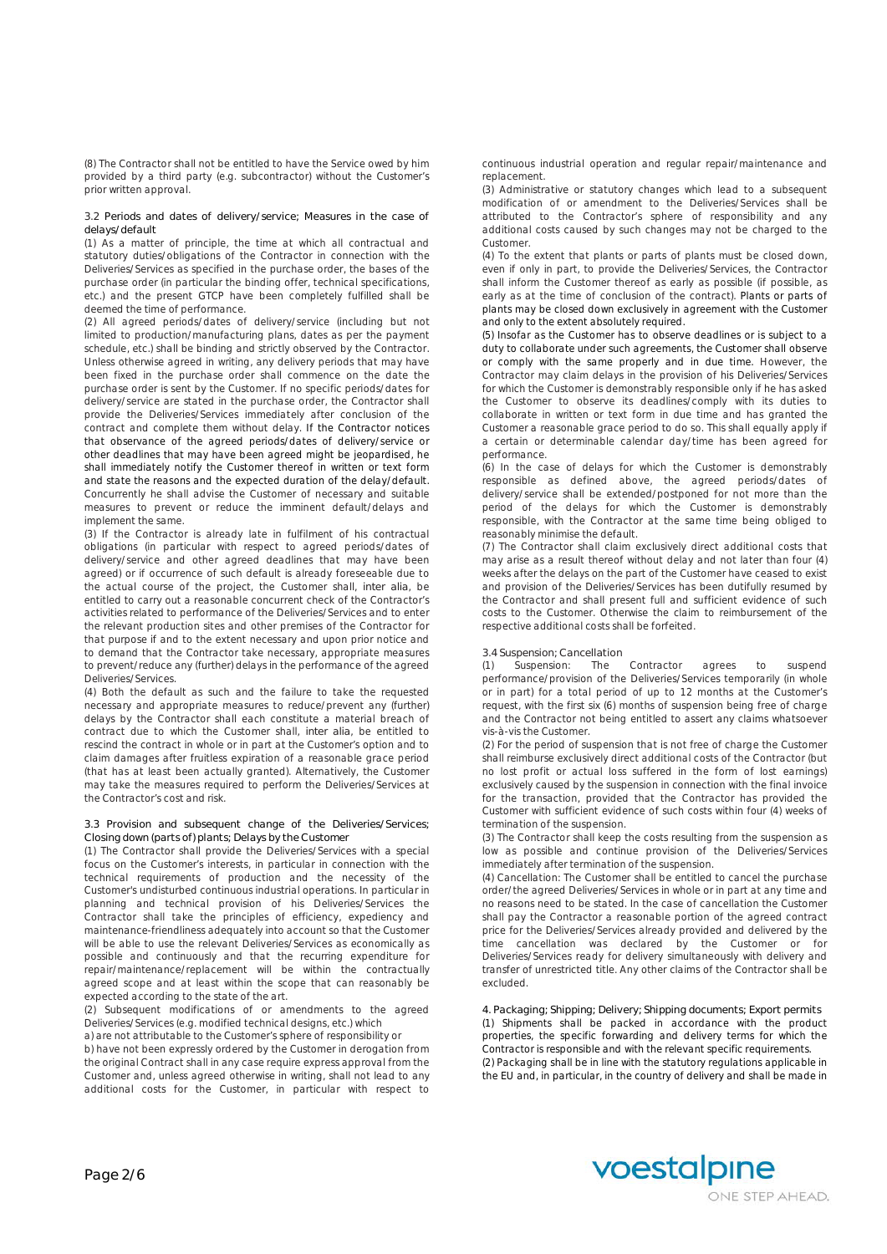(8) The Contractor shall not be entitled to have the Service owed by him provided by a third party (e.g. subcontractor) without the Customer's prior written approval.

### **3.2 Periods and dates of delivery/service; Measures in the case of delays/default**

(1) As a matter of principle, the time at which all contractual and statutory duties/obligations of the Contractor in connection with the Deliveries/Services as specified in the purchase order, the bases of the purchase order (in particular the binding offer, technical specifications, etc.) and the present GTCP have been completely fulfilled shall be deemed the time of performance.

(2) All agreed periods/dates of delivery/service (including but not limited to production/manufacturing plans, dates as per the payment schedule, etc.) shall be binding and strictly observed by the Contractor. Unless otherwise agreed in writing, any delivery periods that may have been fixed in the purchase order shall commence on the date the purchase order is sent by the Customer. If no specific periods/dates for delivery/service are stated in the purchase order, the Contractor shall provide the Deliveries/Services immediately after conclusion of the contract and complete them without delay. If the Contractor notices that observance of the agreed periods/dates of delivery/service or other deadlines that may have been agreed might be jeopardised, he shall immediately notify the Customer thereof in written or text form and state the reasons and the expected duration of the delay/default. Concurrently he shall advise the Customer of necessary and suitable measures to prevent or reduce the imminent default/delays and implement the same.

(3) If the Contractor is already late in fulfilment of his contractual obligations (in particular with respect to agreed periods/dates of delivery/service and other agreed deadlines that may have been agreed) or if occurrence of such default is already foreseeable due to the actual course of the project, the Customer shall, *inter alia*, be entitled to carry out a reasonable concurrent check of the Contractor's activities related to performance of the Deliveries/Services and to enter the relevant production sites and other premises of the Contractor for that purpose if and to the extent necessary and upon prior notice and to demand that the Contractor take necessary, appropriate measures to prevent/reduce any (further) delays in the performance of the agreed Deliveries/Services.

(4) Both the default as such and the failure to take the requested necessary and appropriate measures to reduce/prevent any (further) delays by the Contractor shall each constitute a material breach of contract due to which the Customer shall, *inter alia*, be entitled to rescind the contract in whole or in part at the Customer's option and to claim damages after fruitless expiration of a reasonable grace period (that has at least been actually granted). Alternatively, the Customer may take the measures required to perform the Deliveries/Services at the Contractor's cost and risk.

# **3.3 Provision and subsequent change of the Deliveries/Services; Closing down (parts of) plants; Delays by the Customer**

(1) The Contractor shall provide the Deliveries/Services with a special focus on the Customer's interests, in particular in connection with the technical requirements of production and the necessity of the Customer's undisturbed continuous industrial operations. In particular in planning and technical provision of his Deliveries/Services the Contractor shall take the principles of efficiency, expediency and maintenance-friendliness adequately into account so that the Customer will be able to use the relevant Deliveries/Services as economically as possible and continuously and that the recurring expenditure for repair/maintenance/replacement will be within the contractually agreed scope and at least within the scope that can reasonably be expected according to the state of the art.

(2) Subsequent modifications of or amendments to the agreed Deliveries/Services (e.g. modified technical designs, etc.) which

a) are not attributable to the Customer's sphere of responsibility or b) have not been expressly ordered by the Customer in derogation from the original Contract shall in any case require express approval from the Customer and, unless agreed otherwise in writing, shall not lead to any additional costs for the Customer, in particular with respect to continuous industrial operation and regular repair/maintenance and replacement.

(3) Administrative or statutory changes which lead to a subsequent modification of or amendment to the Deliveries/Services shall be attributed to the Contractor's sphere of responsibility and any additional costs caused by such changes may not be charged to the Customer.

(4) To the extent that plants or parts of plants must be closed down, even if only in part, to provide the Deliveries/Services, the Contractor shall inform the Customer thereof as early as possible (if possible, as early as at the time of conclusion of the contract). Plants or parts of plants may be closed down exclusively in agreement with the Customer and only to the extent absolutely required.

(5) Insofar as the Customer has to observe deadlines or is subject to a duty to collaborate under such agreements, the Customer shall observe or comply with the same properly and in due time. However, the Contractor may claim delays in the provision of his Deliveries/Services for which the Customer is demonstrably responsible only if he has asked the Customer to observe its deadlines/comply with its duties to collaborate in written or text form in due time and has granted the Customer a reasonable grace period to do so. This shall equally apply if a certain or determinable calendar day/time has been agreed for performance.

(6) In the case of delays for which the Customer is demonstrably responsible as defined above, the agreed periods/dates of delivery/service shall be extended/postponed for not more than the period of the delays for which the Customer is demonstrably responsible, with the Contractor at the same time being obliged to reasonably minimise the default.

(7) The Contractor shall claim exclusively direct additional costs that may arise as a result thereof without delay and not later than four (4) weeks after the delays on the part of the Customer have ceased to exist and provision of the Deliveries/Services has been dutifully resumed by the Contractor and shall present full and sufficient evidence of such costs to the Customer. Otherwise the claim to reimbursement of the respective additional costs shall be forfeited.

### **3.4 Suspension; Cancellation**

(1) Suspension: The Contractor agrees to suspend performance/provision of the Deliveries/Services temporarily (in whole or in part) for a total period of up to 12 months at the Customer's request, with the first six (6) months of suspension being free of charge and the Contractor not being entitled to assert any claims whatsoever vis-à-vis the Customer.

(2) For the period of suspension that is not free of charge the Customer shall reimburse exclusively direct additional costs of the Contractor (but no lost profit or actual loss suffered in the form of lost earnings) exclusively caused by the suspension in connection with the final invoice for the transaction, provided that the Contractor has provided the Customer with sufficient evidence of such costs within four (4) weeks of termination of the suspension.

(3) The Contractor shall keep the costs resulting from the suspension as low as possible and continue provision of the Deliveries/Services immediately after termination of the suspension.

(4) Cancellation: The Customer shall be entitled to cancel the purchase order/the agreed Deliveries/Services in whole or in part at any time and no reasons need to be stated. In the case of cancellation the Customer shall pay the Contractor a reasonable portion of the agreed contract price for the Deliveries/Services already provided and delivered by the time cancellation was declared by the Customer or for Deliveries/Services ready for delivery simultaneously with delivery and transfer of unrestricted title. Any other claims of the Contractor shall be excluded.

**4. Packaging; Shipping; Delivery; Shipping documents; Export permits** (1) Shipments shall be packed in accordance with the product properties, the specific forwarding and delivery terms for which the Contractor is responsible and with the relevant specific requirements. (2) Packaging shall be in line with the statutory regulations applicable in the EU and, in particular, in the country of delivery and shall be made in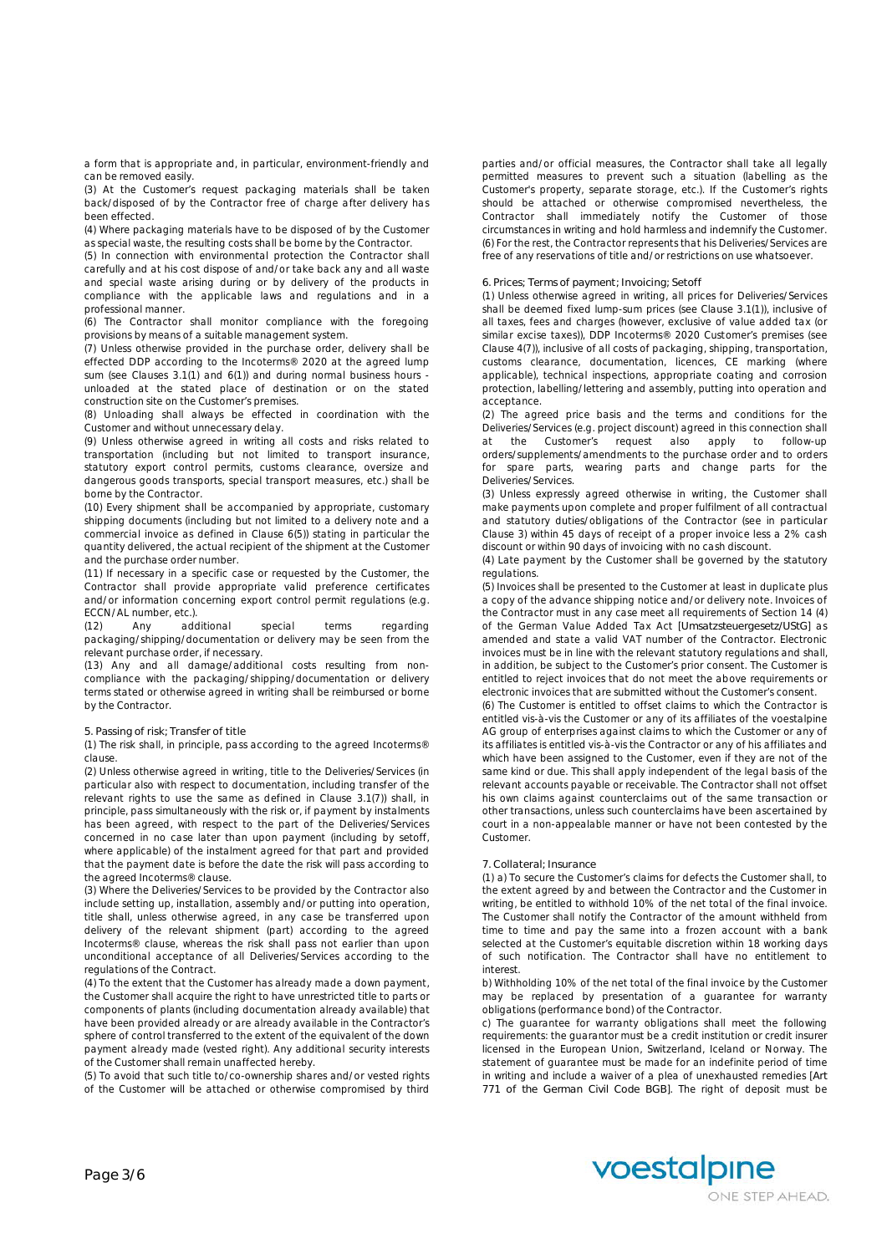a form that is appropriate and, in particular, environment-friendly and can be removed easily.

(3) At the Customer's request packaging materials shall be taken back/disposed of by the Contractor free of charge after delivery has been effected.

(4) Where packaging materials have to be disposed of by the Customer as special waste, the resulting costs shall be borne by the Contractor.

(5) In connection with environmental protection the Contractor shall carefully and at his cost dispose of and/or take back any and all waste and special waste arising during or by delivery of the products in compliance with the applicable laws and regulations and in a professional manner.

(6) The Contractor shall monitor compliance with the foregoing provisions by means of a suitable management system.

(7) Unless otherwise provided in the purchase order, delivery shall be effected DDP according to the Incoterms® 2020 at the agreed lump sum (see Clauses 3.1(1) and 6(1)) and during normal business hours unloaded at the stated place of destination or on the stated construction site on the Customer's premises.

(8) Unloading shall always be effected in coordination with the Customer and without unnecessary delay.

(9) Unless otherwise agreed in writing all costs and risks related to transportation (including but not limited to transport insurance, statutory export control permits, customs clearance, oversize and dangerous goods transports, special transport measures, etc.) shall be borne by the Contractor.

(10) Every shipment shall be accompanied by appropriate, customary shipping documents (including but not limited to a delivery note and a commercial invoice as defined in Clause 6(5)) stating in particular the quantity delivered, the actual recipient of the shipment at the Customer and the purchase order number.

(11) If necessary in a specific case or requested by the Customer, the Contractor shall provide appropriate valid preference certificates and/or information concerning export control permit regulations (e.g. ECCN/AL number, etc.).

(12) Any additional special terms regarding packaging/shipping/documentation or delivery may be seen from the relevant purchase order, if necessary.

(13) Any and all damage/additional costs resulting from noncompliance with the packaging/shipping/documentation or delivery terms stated or otherwise agreed in writing shall be reimbursed or borne by the Contractor.

### **5. Passing of risk; Transfer of title**

(1) The risk shall, in principle, pass according to the agreed Incoterms® clause.

(2) Unless otherwise agreed in writing, title to the Deliveries/Services (in particular also with respect to documentation, including transfer of the relevant rights to use the same as defined in Clause 3.1(7)) shall, in principle, pass simultaneously with the risk or, if payment by instalments has been agreed, with respect to the part of the Deliveries/Services concerned in no case later than upon payment (including by setoff, where applicable) of the instalment agreed for that part and provided that the payment date is before the date the risk will pass according to the agreed Incoterms® clause.

(3) Where the Deliveries/Services to be provided by the Contractor also include setting up, installation, assembly and/or putting into operation, title shall, unless otherwise agreed, in any case be transferred upon delivery of the relevant shipment (part) according to the agreed Incoterms® clause, whereas the risk shall pass not earlier than upon unconditional acceptance of all Deliveries/Services according to the regulations of the Contract.

(4) To the extent that the Customer has already made a down payment, the Customer shall acquire the right to have unrestricted title to parts or components of plants (including documentation already available) that have been provided already or are already available in the Contractor's sphere of control transferred to the extent of the equivalent of the down payment already made (vested right). Any additional security interests of the Customer shall remain unaffected hereby.

(5) To avoid that such title to/co-ownership shares and/or vested rights of the Customer will be attached or otherwise compromised by third parties and/or official measures, the Contractor shall take all legally permitted measures to prevent such a situation (labelling as the Customer's property, separate storage, etc.). If the Customer's rights should be attached or otherwise compromised nevertheless, the Contractor shall immediately notify the Customer of those circumstances in writing and hold harmless and indemnify the Customer. (6) For the rest, the Contractor represents that his Deliveries/Services are free of any reservations of title and/or restrictions on use whatsoever.

# **6. Prices; Terms of payment; Invoicing; Setoff**

(1) Unless otherwise agreed in writing, all prices for Deliveries/Services shall be deemed fixed lump-sum prices (see Clause 3.1(1)), inclusive of all taxes, fees and charges (however, exclusive of value added tax (or similar excise taxes)), DDP Incoterms® 2020 Customer's premises (see Clause 4(7)), inclusive of all costs of packaging, shipping, transportation, customs clearance, documentation, licences, CE marking (where applicable), technical inspections, appropriate coating and corrosion protection, labelling/lettering and assembly, putting into operation and acceptance.

(2) The agreed price basis and the terms and conditions for the Deliveries/Services (e.g. project discount) agreed in this connection shall at the Customer's request also apply to follow-up orders/supplements/amendments to the purchase order and to orders for spare parts, wearing parts and change parts for the Deliveries/Services.

(3) Unless expressly agreed otherwise in writing, the Customer shall make payments upon complete and proper fulfilment of all contractual and statutory duties/obligations of the Contractor (see in particular Clause 3) within 45 days of receipt of a proper invoice less a 2% cash discount or within 90 days of invoicing with no cash discount.

(4) Late payment by the Customer shall be governed by the statutory regulations.

(5) Invoices shall be presented to the Customer at least in duplicate plus a copy of the advance shipping notice and/or delivery note. Invoices of the Contractor must in any case meet all requirements of Section 14 (4) of the German Value Added Tax Act [*Umsatzsteuergesetz/UStG*] as amended and state a valid VAT number of the Contractor. Electronic invoices must be in line with the relevant statutory regulations and shall, in addition, be subject to the Customer's prior consent. The Customer is entitled to reject invoices that do not meet the above requirements or electronic invoices that are submitted without the Customer's consent.

(6) The Customer is entitled to offset claims to which the Contractor is entitled vis-à-vis the Customer or any of its affiliates of the voestalpine AG group of enterprises against claims to which the Customer or any of its affiliates is entitled vis-à-vis the Contractor or any of his affiliates and which have been assigned to the Customer, even if they are not of the same kind or due. This shall apply independent of the legal basis of the relevant accounts payable or receivable. The Contractor shall not offset his own claims against counterclaims out of the same transaction or other transactions, unless such counterclaims have been ascertained by court in a non-appealable manner or have not been contested by the Customer.

### **7. Collateral; Insurance**

(1) a) To secure the Customer's claims for defects the Customer shall, to the extent agreed by and between the Contractor and the Customer in writing, be entitled to withhold 10% of the net total of the final invoice. The Customer shall notify the Contractor of the amount withheld from time to time and pay the same into a frozen account with a bank selected at the Customer's equitable discretion within 18 working days of such notification. The Contractor shall have no entitlement to interest.

b) Withholding 10% of the net total of the final invoice by the Customer may be replaced by presentation of a guarantee for warranty obligations (performance bond) of the Contractor.

c) The guarantee for warranty obligations shall meet the following requirements: the guarantor must be a credit institution or credit insurer licensed in the European Union, Switzerland, Iceland or Norway. The statement of guarantee must be made for an indefinite period of time in writing and include a waiver of a plea of unexhausted remedies [*Art 771 of the German Civil Code BGB*]. The right of deposit must be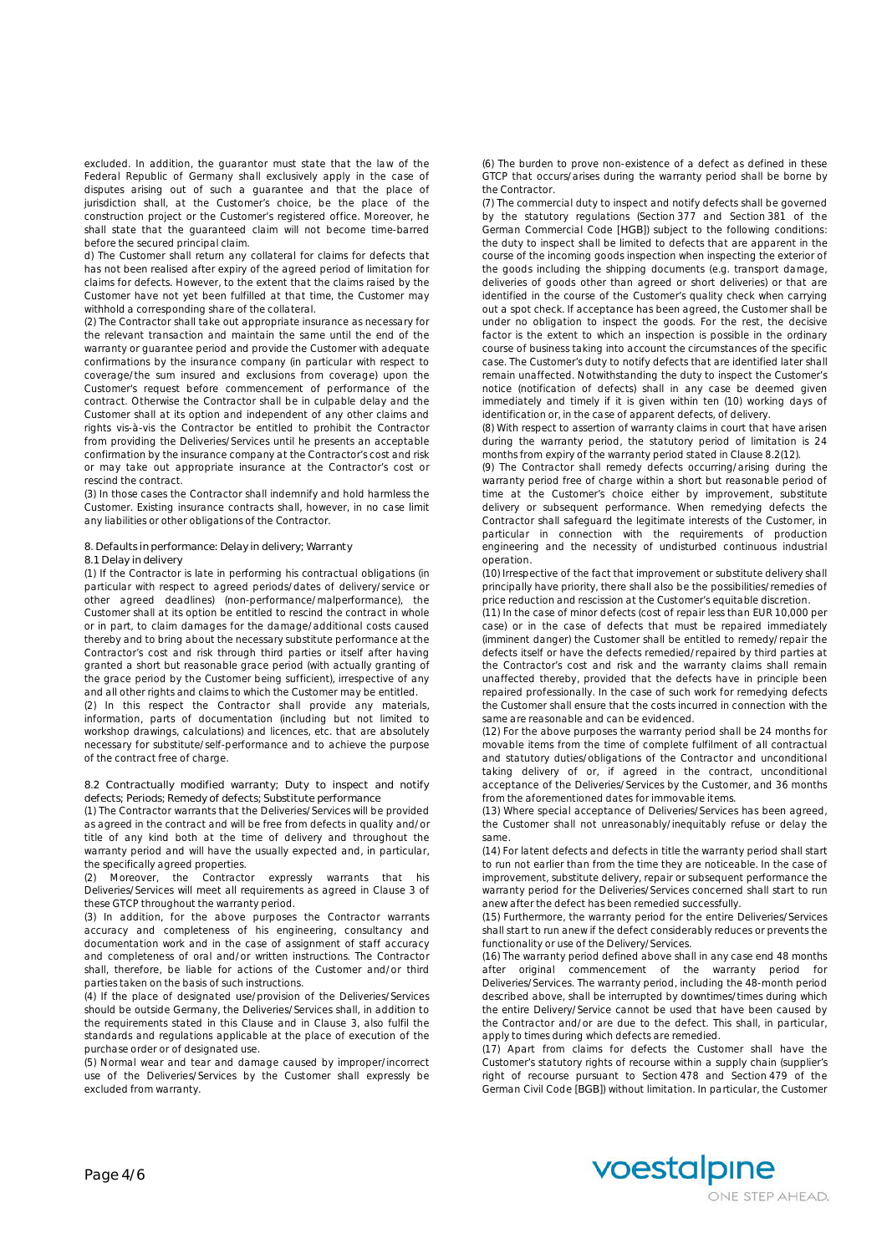excluded. In addition, the guarantor must state that the law of the Federal Republic of Germany shall exclusively apply in the case of disputes arising out of such a guarantee and that the place of jurisdiction shall, at the Customer's choice, be the place of the construction project or the Customer's registered office. Moreover, he shall state that the guaranteed claim will not become time-barred before the secured principal claim.

d) The Customer shall return any collateral for claims for defects that has not been realised after expiry of the agreed period of limitation for claims for defects. However, to the extent that the claims raised by the Customer have not yet been fulfilled at that time, the Customer may withhold a corresponding share of the collateral.

(2) The Contractor shall take out appropriate insurance as necessary for the relevant transaction and maintain the same until the end of the warranty or guarantee period and provide the Customer with adequate confirmations by the insurance company (in particular with respect to coverage/the sum insured and exclusions from coverage) upon the Customer's request before commencement of performance of the contract. Otherwise the Contractor shall be in culpable delay and the Customer shall at its option and independent of any other claims and rights vis-à-vis the Contractor be entitled to prohibit the Contractor from providing the Deliveries/Services until he presents an acceptable confirmation by the insurance company at the Contractor's cost and risk or may take out appropriate insurance at the Contractor's cost or rescind the contract.

(3) In those cases the Contractor shall indemnify and hold harmless the Customer. Existing insurance contracts shall, however, in no case limit any liabilities or other obligations of the Contractor.

**8. Defaults in performance: Delay in delivery; Warranty**

### **8.1 Delay in delivery**

(1) If the Contractor is late in performing his contractual obligations (in particular with respect to agreed periods/dates of delivery/service or other agreed deadlines) (non-performance/malperformance), the Customer shall at its option be entitled to rescind the contract in whole or in part, to claim damages for the damage/additional costs caused thereby and to bring about the necessary substitute performance at the Contractor's cost and risk through third parties or itself after having granted a short but reasonable grace period (with actually granting of the grace period by the Customer being sufficient), irrespective of any and all other rights and claims to which the Customer may be entitled.

(2) In this respect the Contractor shall provide any materials, information, parts of documentation (including but not limited to workshop drawings, calculations) and licences, etc. that are absolutely necessary for substitute/self-performance and to achieve the purpose of the contract free of charge.

**8.2 Contractually modified warranty; Duty to inspect and notify defects; Periods; Remedy of defects; Substitute performance**

(1) The Contractor warrants that the Deliveries/Services will be provided as agreed in the contract and will be free from defects in quality and/or title of any kind both at the time of delivery and throughout the warranty period and will have the usually expected and, in particular, the specifically agreed properties.

(2) Moreover, the Contractor expressly warrants that his Deliveries/Services will meet all requirements as agreed in Clause 3 of these GTCP throughout the warranty period.

(3) In addition, for the above purposes the Contractor warrants accuracy and completeness of his engineering, consultancy and documentation work and in the case of assignment of staff accuracy and completeness of oral and/or written instructions. The Contractor shall, therefore, be liable for actions of the Customer and/or third parties taken on the basis of such instructions.

(4) If the place of designated use/provision of the Deliveries/Services should be outside Germany, the Deliveries/Services shall, in addition to the requirements stated in this Clause and in Clause 3, also fulfil the standards and regulations applicable at the place of execution of the purchase order or of designated use.

(5) Normal wear and tear and damage caused by improper/incorrect use of the Deliveries/Services by the Customer shall expressly be excluded from warranty.

(6) The burden to prove non-existence of a defect as defined in these GTCP that occurs/arises during the warranty period shall be borne by the Contractor.

(7) The commercial duty to inspect and notify defects shall be governed by the statutory regulations (Section 377 and Section 381 of the German Commercial Code [*HGB*]) subject to the following conditions: the duty to inspect shall be limited to defects that are apparent in the course of the incoming goods inspection when inspecting the exterior of the goods including the shipping documents (e.g. transport damage, deliveries of goods other than agreed or short deliveries) or that are identified in the course of the Customer's quality check when carrying out a spot check. If acceptance has been agreed, the Customer shall be under no obligation to inspect the goods. For the rest, the decisive factor is the extent to which an inspection is possible in the ordinary course of business taking into account the circumstances of the specific case. The Customer's duty to notify defects that are identified later shall remain unaffected. Notwithstanding the duty to inspect the Customer's notice (notification of defects) shall in any case be deemed given immediately and timely if it is given within ten (10) working days of identification or, in the case of apparent defects, of delivery.

(8) With respect to assertion of warranty claims in court that have arisen during the warranty period, the statutory period of limitation is 24 months from expiry of the warranty period stated in Clause 8.2(12).

(9) The Contractor shall remedy defects occurring/arising during the warranty period free of charge within a short but reasonable period of time at the Customer's choice either by improvement, substitute delivery or subsequent performance. When remedying defects the Contractor shall safeguard the legitimate interests of the Customer, in particular in connection with the requirements of production engineering and the necessity of undisturbed continuous industrial operation.

(10) Irrespective of the fact that improvement or substitute delivery shall principally have priority, there shall also be the possibilities/remedies of price reduction and rescission at the Customer's equitable discretion.

(11) In the case of minor defects (cost of repair less than EUR 10,000 per case) or in the case of defects that must be repaired immediately (imminent danger) the Customer shall be entitled to remedy/repair the defects itself or have the defects remedied/repaired by third parties at the Contractor's cost and risk and the warranty claims shall remain unaffected thereby, provided that the defects have in principle been repaired professionally. In the case of such work for remedying defects the Customer shall ensure that the costs incurred in connection with the same are reasonable and can be evidenced.

(12) For the above purposes the warranty period shall be 24 months for movable items from the time of complete fulfilment of all contractual and statutory duties/obligations of the Contractor and unconditional taking delivery of or, if agreed in the contract, unconditional acceptance of the Deliveries/Services by the Customer, and 36 months from the aforementioned dates for immovable items.

(13) Where special acceptance of Deliveries/Services has been agreed, the Customer shall not unreasonably/inequitably refuse or delay the same.

(14) For latent defects and defects in title the warranty period shall start to run not earlier than from the time they are noticeable. In the case of improvement, substitute delivery, repair or subsequent performance the warranty period for the Deliveries/Services concerned shall start to run anew after the defect has been remedied successfully.

(15) Furthermore, the warranty period for the entire Deliveries/Services shall start to run anew if the defect considerably reduces or prevents the functionality or use of the Delivery/Services.

(16) The warranty period defined above shall in any case end 48 months after original commencement of the warranty period for Deliveries/Services. The warranty period, including the 48-month period described above, shall be interrupted by downtimes/times during which the entire Delivery/Service cannot be used that have been caused by the Contractor and/or are due to the defect. This shall, in particular, apply to times during which defects are remedied.

(17) Apart from claims for defects the Customer shall have the Customer's statutory rights of recourse within a supply chain (supplier's right of recourse pursuant to Section 478 and Section 479 of the German Civil Code [*BGB*]) without limitation. In particular, the Customer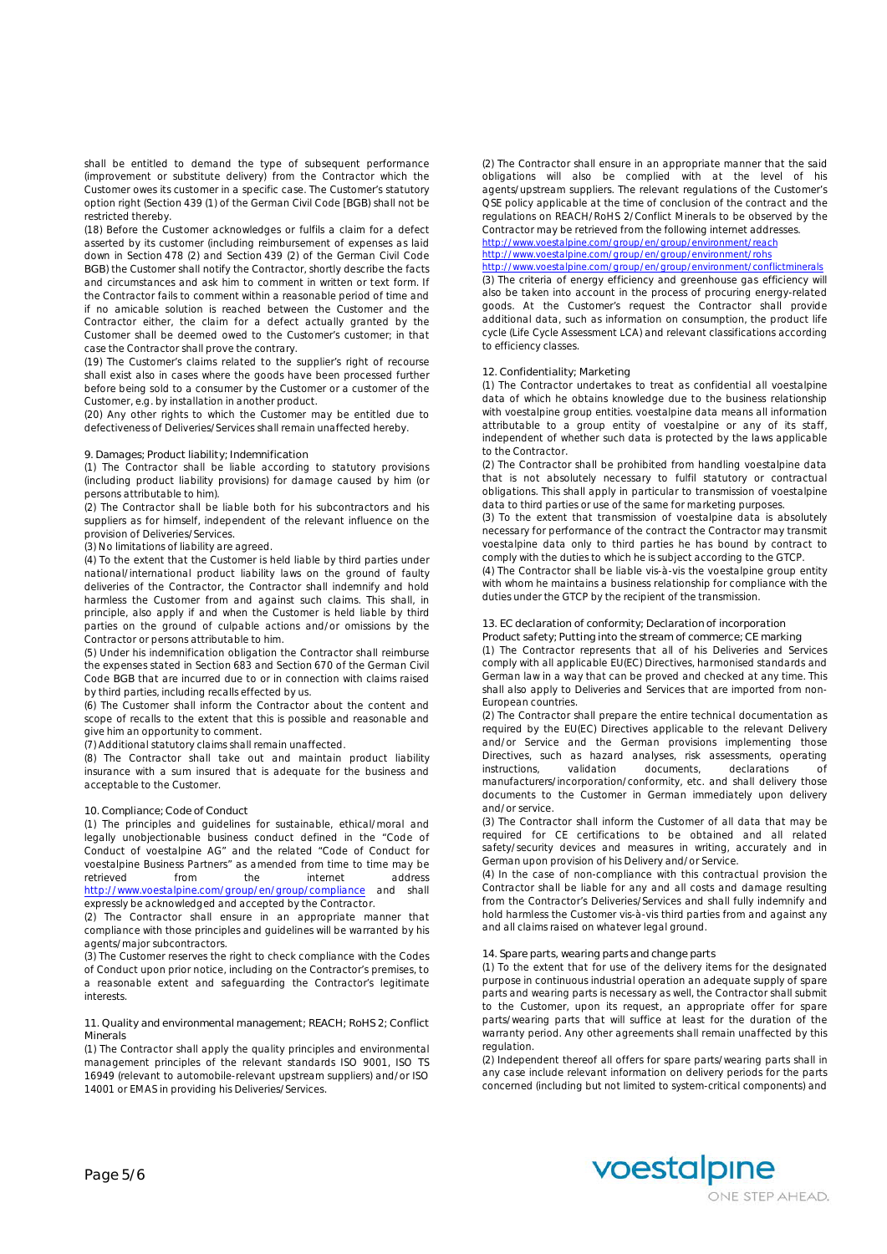shall be entitled to demand the type of subsequent performance (improvement or substitute delivery) from the Contractor which the Customer owes its customer in a specific case. The Customer's statutory option right (Section 439 (1) of the German Civil Code [*BGB*) shall not be restricted thereby.

(18) Before the Customer acknowledges or fulfils a claim for a defect asserted by its customer (including reimbursement of expenses as laid down in Section 478 (2) and Section 439 (2) of the German Civil Code *BGB*) the Customer shall notify the Contractor, shortly describe the facts and circumstances and ask him to comment in written or text form. If the Contractor fails to comment within a reasonable period of time and if no amicable solution is reached between the Customer and the Contractor either, the claim for a defect actually granted by the Customer shall be deemed owed to the Customer's customer; in that case the Contractor shall prove the contrary.

(19) The Customer's claims related to the supplier's right of recourse shall exist also in cases where the goods have been processed further before being sold to a consumer by the Customer or a customer of the Customer, e.g. by installation in another product.

(20) Any other rights to which the Customer may be entitled due to defectiveness of Deliveries/Services shall remain unaffected hereby.

### **9. Damages; Product liability; Indemnification**

(1) The Contractor shall be liable according to statutory provisions (including product liability provisions) for damage caused by him (or persons attributable to him).

(2) The Contractor shall be liable both for his subcontractors and his suppliers as for himself, independent of the relevant influence on the provision of Deliveries/Services.

(3) No limitations of liability are agreed.

(4) To the extent that the Customer is held liable by third parties under national/international product liability laws on the ground of faulty deliveries of the Contractor, the Contractor shall indemnify and hold harmless the Customer from and against such claims. This shall, in principle, also apply if and when the Customer is held liable by third parties on the ground of culpable actions and/or omissions by the Contractor or persons attributable to him.

(5) Under his indemnification obligation the Contractor shall reimburse the expenses stated in Section 683 and Section 670 of the German Civil Code *BGB* that are incurred due to or in connection with claims raised by third parties, including recalls effected by us.

(6) The Customer shall inform the Contractor about the content and scope of recalls to the extent that this is possible and reasonable and give him an opportunity to comment.

(7) Additional statutory claims shall remain unaffected.

(8) The Contractor shall take out and maintain product liability insurance with a sum insured that is adequate for the business and acceptable to the Customer.

#### **10. Compliance; Code of Conduct**

(1) The principles and guidelines for sustainable, ethical/moral and legally unobjectionable business conduct defined in the "Code of Conduct of voestalpine AG" and the related "Code of Conduct for voestalpine Business Partners" as amended from time to time may be retrieved from the internet address http://www.voestalpine.com/group/en/group/compliance and shall expressly be acknowledged and accepted by the Contractor.

(2) The Contractor shall ensure in an appropriate manner that compliance with those principles and guidelines will be warranted by his agents/major subcontractors.

(3) The Customer reserves the right to check compliance with the Codes of Conduct upon prior notice, including on the Contractor's premises, to a reasonable extent and safeguarding the Contractor's legitimate interests.

**11. Quality and environmental management; REACH; RoHS 2; Conflict Minerals**

(1) The Contractor shall apply the quality principles and environmental management principles of the relevant standards ISO 9001, ISO TS 16949 (relevant to automobile-relevant upstream suppliers) and/or ISO 14001 or EMAS in providing his Deliveries/Services.

(2) The Contractor shall ensure in an appropriate manner that the said obligations will also be complied with at the level of his agents/upstream suppliers. The relevant regulations of the Customer's QSE policy applicable at the time of conclusion of the contract and the regulations on REACH/RoHS 2/Conflict Minerals to be observed by the Contractor may be retrieved from the following internet addresses.

#### http://www.voestalpine.com/group/en/group/environment/reach http://www.voestalpine.com/group/en/group/environment/rohs http://www.voestalpine.com/group/en/group/environment/conflictminerals

(3) The criteria of energy efficiency and greenhouse gas efficiency will also be taken into account in the process of procuring energy-related goods. At the Customer's request the Contractor shall provide additional data, such as information on consumption, the product life cycle (Life Cycle Assessment LCA) and relevant classifications according to efficiency classes.

# **12. Confidentiality; Marketing**

(1) The Contractor undertakes to treat as confidential all voestalpine data of which he obtains knowledge due to the business relationship with voestalpine group entities. voestalpine data means all information attributable to a group entity of voestalpine or any of its staff, independent of whether such data is protected by the laws applicable to the Contractor.

(2) The Contractor shall be prohibited from handling voestalpine data that is not absolutely necessary to fulfil statutory or contractual obligations. This shall apply in particular to transmission of voestalpine data to third parties or use of the same for marketing purposes.

(3) To the extent that transmission of voestalpine data is absolutely necessary for performance of the contract the Contractor may transmit voestalpine data only to third parties he has bound by contract to comply with the duties to which he is subject according to the GTCP.

(4) The Contractor shall be liable vis-à-vis the voestalpine group entity with whom he maintains a business relationship for compliance with the duties under the GTCP by the recipient of the transmission.

### **13. EC declaration of conformity; Declaration of incorporation**

**Product safety; Putting into the stream of commerce; CE marking** (1) The Contractor represents that all of his Deliveries and Services comply with all applicable EU(EC) Directives, harmonised standards and German law in a way that can be proved and checked at any time. This shall also apply to Deliveries and Services that are imported from non-European countries.

(2) The Contractor shall prepare the entire technical documentation as required by the EU(EC) Directives applicable to the relevant Delivery and/or Service and the German provisions implementing those Directives, such as hazard analyses, risk assessments, operating instructions, validation documents, declarations of manufacturers/incorporation/conformity, etc. and shall delivery those documents to the Customer in German immediately upon delivery and/or service.

(3) The Contractor shall inform the Customer of all data that may be required for CE certifications to be obtained and all related safety/security devices and measures in writing, accurately and in German upon provision of his Delivery and/or Service.

(4) In the case of non-compliance with this contractual provision the Contractor shall be liable for any and all costs and damage resulting from the Contractor's Deliveries/Services and shall fully indemnify and hold harmless the Customer vis-à-vis third parties from and against any and all claims raised on whatever legal ground.

#### **14. Spare parts, wearing parts and change parts**

(1) To the extent that for use of the delivery items for the designated purpose in continuous industrial operation an adequate supply of spare parts and wearing parts is necessary as well, the Contractor shall submit to the Customer, upon its request, an appropriate offer for spare parts/wearing parts that will suffice at least for the duration of the warranty period. Any other agreements shall remain unaffected by this regulation.

(2) Independent thereof all offers for spare parts/wearing parts shall in any case include relevant information on delivery periods for the parts concerned (including but not limited to system-critical components) and